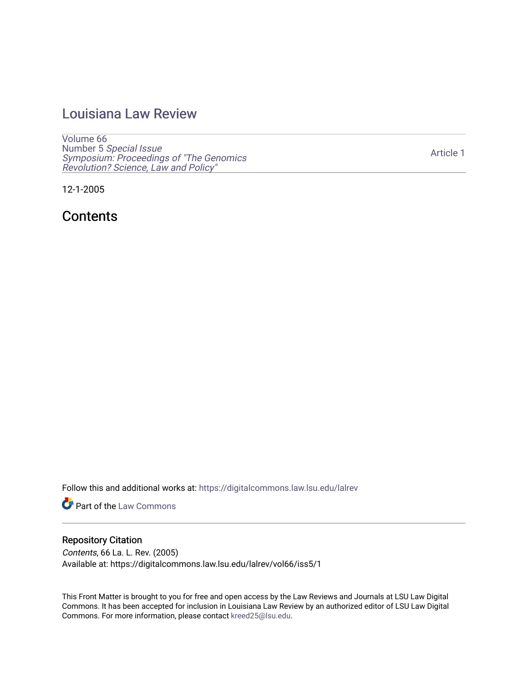# [Louisiana Law Review](https://digitalcommons.law.lsu.edu/lalrev)

[Volume 66](https://digitalcommons.law.lsu.edu/lalrev/vol66) Number 5 [Special Issue](https://digitalcommons.law.lsu.edu/lalrev/vol66/iss5) [Symposium: Proceedings of "The Genomics](https://digitalcommons.law.lsu.edu/lalrev/vol66/iss5)  [Revolution? Science, Law and Policy"](https://digitalcommons.law.lsu.edu/lalrev/vol66/iss5) 

12-1-2005

**Contents** 

Follow this and additional works at: [https://digitalcommons.law.lsu.edu/lalrev](https://digitalcommons.law.lsu.edu/lalrev?utm_source=digitalcommons.law.lsu.edu%2Flalrev%2Fvol66%2Fiss5%2F1&utm_medium=PDF&utm_campaign=PDFCoverPages)

**Part of the [Law Commons](https://network.bepress.com/hgg/discipline/578?utm_source=digitalcommons.law.lsu.edu%2Flalrev%2Fvol66%2Fiss5%2F1&utm_medium=PDF&utm_campaign=PDFCoverPages)** 

### Repository Citation

Contents, 66 La. L. Rev. (2005) Available at: https://digitalcommons.law.lsu.edu/lalrev/vol66/iss5/1

This Front Matter is brought to you for free and open access by the Law Reviews and Journals at LSU Law Digital Commons. It has been accepted for inclusion in Louisiana Law Review by an authorized editor of LSU Law Digital Commons. For more information, please contact [kreed25@lsu.edu](mailto:kreed25@lsu.edu).

[Article 1](https://digitalcommons.law.lsu.edu/lalrev/vol66/iss5/1)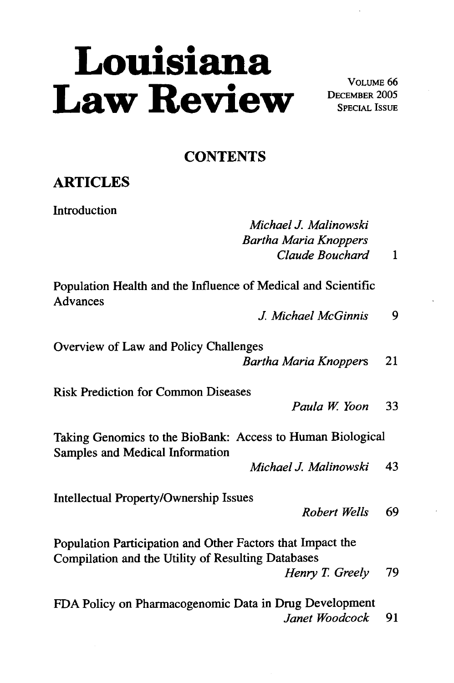# Louisiana<br>Law Review **DECEMBER 2005**

DECEMBER 2005 SPECIAL ISSUE

## **CONTENTS**

## **ARTICLES**

Introduction

*MichaelJ. Malinowski BarthaMariaKnoppers ClaudeBouchard* 1

Population Health and the Influence of Medical and Scientific Advances

*J. MichaelMcGinnis 9* 

Overview of Law and Policy Challenges *BarthaMariaKnoppers* 21

Risk Prediction for Common Diseases

*Paula W Yoon* 33

Taking Genomics to the BioBank: Access to Human Biological Samples and Medical Information

*MichaelJ. Malinowski* 43

Intellectual Property/Ownership Issues

*Robert Wells 69* 

Population Participation and Other Factors that Impact the Compilation and the Utility of Resulting Databases

*Henry T Greely 79* 

FDA Policy on Pharmacogenomic Data in Drug Development *Janet Woodcock* 91